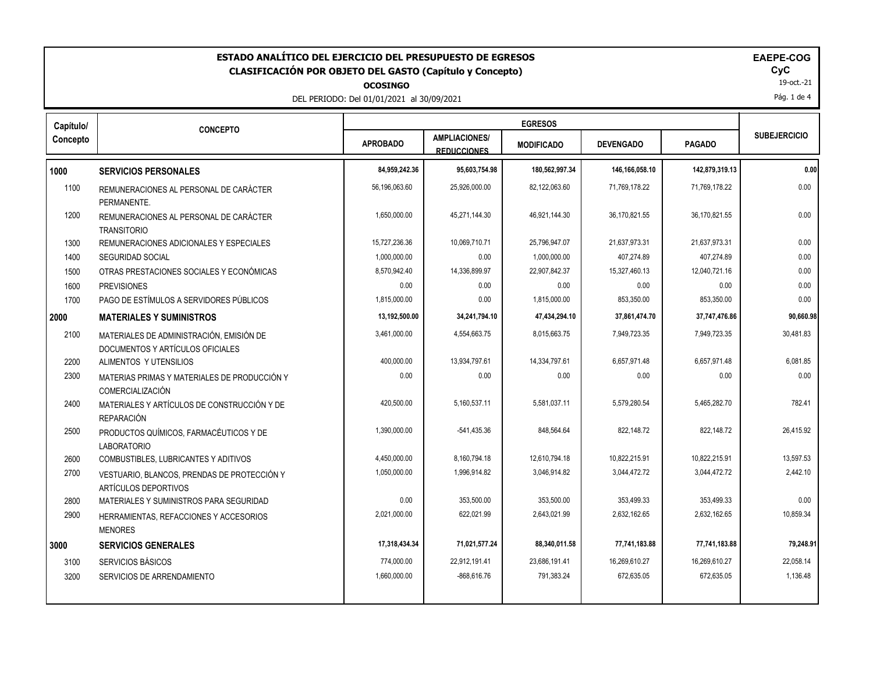| ESTADO ANALÍTICO DEL EJERCICIO DEL PRESUPUESTO DE EGRESOS<br>EAEPE-COG<br>CyC<br>CLASIFICACIÓN POR OBJETO DEL GASTO (Capítulo y Concepto)<br>19-oct.-21<br><b>OCOSINGO</b><br>Pág. 1 de 4<br>DEL PERIODO: Del 01/01/2021 al 30/09/2021 |                                                                              |                 |                                            |                   |                  |                |                     |  |
|----------------------------------------------------------------------------------------------------------------------------------------------------------------------------------------------------------------------------------------|------------------------------------------------------------------------------|-----------------|--------------------------------------------|-------------------|------------------|----------------|---------------------|--|
| Capítulo/                                                                                                                                                                                                                              | <b>CONCEPTO</b>                                                              |                 | <b>EGRESOS</b>                             |                   |                  |                |                     |  |
| Concepto                                                                                                                                                                                                                               |                                                                              | <b>APROBADO</b> | <b>AMPLIACIONES/</b><br><b>REDUCCIONES</b> | <b>MODIFICADO</b> | <b>DEVENGADO</b> | <b>PAGADO</b>  | <b>SUBEJERCICIO</b> |  |
| 1000                                                                                                                                                                                                                                   | <b>SERVICIOS PERSONALES</b>                                                  | 84,959,242.36   | 95,603,754.98                              | 180,562,997.34    | 146,166,058.10   | 142,879,319.13 | 0.00                |  |
| 1100                                                                                                                                                                                                                                   | REMUNERACIONES AL PERSONAL DE CARÁCTER<br>PERMANENTE.                        | 56,196,063.60   | 25,926,000.00                              | 82,122,063.60     | 71,769,178.22    | 71,769,178.22  | 0.00                |  |
| 1200                                                                                                                                                                                                                                   | REMUNERACIONES AL PERSONAL DE CARÁCTER<br><b>TRANSITORIO</b>                 | 1,650,000.00    | 45,271,144.30                              | 46,921,144.30     | 36,170,821.55    | 36,170,821.55  | 0.00                |  |
| 1300                                                                                                                                                                                                                                   | REMUNERACIONES ADICIONALES Y ESPECIALES                                      | 15,727,236.36   | 10,069,710.71                              | 25,796,947.07     | 21,637,973.31    | 21,637,973.31  | 0.00                |  |
| 1400                                                                                                                                                                                                                                   | <b>SEGURIDAD SOCIAL</b>                                                      | 1,000,000.00    | 0.00                                       | 1,000,000.00      | 407,274.89       | 407,274.89     | 0.00                |  |
| 1500                                                                                                                                                                                                                                   | OTRAS PRESTACIONES SOCIALES Y ECONÓMICAS                                     | 8,570,942.40    | 14,336,899.97                              | 22,907,842.37     | 15,327,460.13    | 12,040,721.16  | 0.00                |  |
| 1600                                                                                                                                                                                                                                   | <b>PREVISIONES</b>                                                           | 0.00            | 0.00                                       | 0.00              | 0.00             | 0.00           | 0.00                |  |
| 1700                                                                                                                                                                                                                                   | PAGO DE ESTÍMULOS A SERVIDORES PÚBLICOS                                      | 1,815,000.00    | 0.00                                       | 1,815,000.00      | 853,350.00       | 853,350.00     | 0.00                |  |
| 2000                                                                                                                                                                                                                                   | <b>MATERIALES Y SUMINISTROS</b>                                              | 13,192,500.00   | 34,241,794.10                              | 47,434,294.10     | 37,861,474.70    | 37,747,476.86  | 90,660.98           |  |
| 2100                                                                                                                                                                                                                                   | MATERIALES DE ADMINISTRACIÓN. EMISIÓN DE<br>DOCUMENTOS Y ARTÍCULOS OFICIALES | 3,461,000.00    | 4,554,663.75                               | 8,015,663.75      | 7,949,723.35     | 7,949,723.35   | 30.481.83           |  |
| 2200                                                                                                                                                                                                                                   | ALIMENTOS Y UTENSILIOS                                                       | 400,000.00      | 13,934,797.61                              | 14,334,797.61     | 6,657,971.48     | 6,657,971.48   | 6,081.85            |  |
| 2300                                                                                                                                                                                                                                   | MATERIAS PRIMAS Y MATERIALES DE PRODUCCIÓN Y<br><b>COMERCIALIZACIÓN</b>      | 0.00            | 0.00                                       | 0.00              | 0.00             | 0.00           | 0.00                |  |
| 2400                                                                                                                                                                                                                                   | MATERIALES Y ARTÍCULOS DE CONSTRUCCIÓN Y DE<br><b>REPARACIÓN</b>             | 420,500.00      | 5,160,537.11                               | 5,581,037.11      | 5,579,280.54     | 5,465,282.70   | 782.41              |  |
| 2500                                                                                                                                                                                                                                   | PRODUCTOS QUÍMICOS, FARMACÉUTICOS Y DE<br><b>LABORATORIO</b>                 | 1,390,000.00    | $-541,435.36$                              | 848,564.64        | 822,148.72       | 822,148.72     | 26,415.92           |  |
| 2600                                                                                                                                                                                                                                   | COMBUSTIBLES, LUBRICANTES Y ADITIVOS                                         | 4,450,000.00    | 8,160,794.18                               | 12,610,794.18     | 10,822,215.91    | 10.822.215.91  | 13.597.53           |  |
| 2700                                                                                                                                                                                                                                   | VESTUARIO, BLANCOS, PRENDAS DE PROTECCIÓN Y<br>ARTÍCULOS DEPORTIVOS          | 1,050,000.00    | 1,996,914.82                               | 3,046,914.82      | 3,044,472.72     | 3,044,472.72   | 2,442.10            |  |
| 2800                                                                                                                                                                                                                                   | MATERIALES Y SUMINISTROS PARA SEGURIDAD                                      | 0.00            | 353,500.00                                 | 353,500.00        | 353,499.33       | 353,499.33     | 0.00                |  |
| 2900                                                                                                                                                                                                                                   | HERRAMIENTAS, REFACCIONES Y ACCESORIOS<br><b>MENORES</b>                     | 2,021,000.00    | 622,021.99                                 | 2,643,021.99      | 2.632.162.65     | 2,632,162.65   | 10.859.34           |  |
| 3000                                                                                                                                                                                                                                   | <b>SERVICIOS GENERALES</b>                                                   | 17,318,434.34   | 71,021,577.24                              | 88,340,011.58     | 77,741,183.88    | 77,741,183.88  | 79,248.91           |  |
| 3100                                                                                                                                                                                                                                   | <b>SERVICIOS BÁSICOS</b>                                                     | 774,000.00      | 22,912,191.41                              | 23,686,191.41     | 16,269,610.27    | 16,269,610.27  | 22,058.14           |  |
| 3200                                                                                                                                                                                                                                   | SERVICIOS DE ARRENDAMIENTO                                                   | 1,660,000.00    | -868,616.76                                | 791,383.24        | 672,635.05       | 672,635.05     | 1,136.48            |  |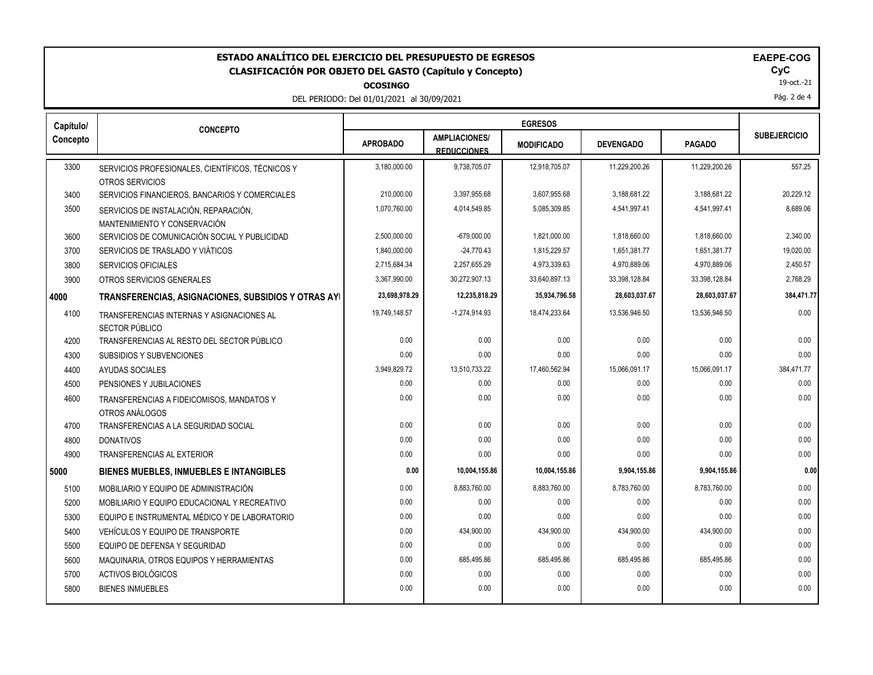## ESTADO ANALÍTICO DEL EJERCICIO DEL PRESUPUESTO DE EGRESOS<br>CLASIFICACIÓN POR OBJETO DEL GASTO (Capítulo y Concepto) **EXECOGASTE EXECUCIÓN EN EL SOS ENTENTES EN E**CYC **CLASIFICACIÓN POR OBJETO DEL GASTO (Capítulo y Concepto) CyC**

**OCOSINGO**

DEL PERIODO: Del 01/01/2021 al 30/09/2021

| <b>AEPE-COG</b> |
|-----------------|
|-----------------|

19-oct.-21

Pág. 2 de 4

| Capítulo/ | <b>CONCEPTO</b>                                     |                 |                                            |                   |                  |               |                     |
|-----------|-----------------------------------------------------|-----------------|--------------------------------------------|-------------------|------------------|---------------|---------------------|
| Concepto  |                                                     | <b>APROBADO</b> | <b>AMPLIACIONES/</b><br><b>REDUCCIONES</b> | <b>MODIFICADO</b> | <b>DEVENGADO</b> | <b>PAGADO</b> | <b>SUBEJERCICIO</b> |
| 3300      | SERVICIOS PROFESIONALES, CIENTÍFICOS, TÉCNICOS Y    | 3,180,000.00    | 9,738,705.07                               | 12,918,705.07     | 11,229,200.26    | 11,229,200.26 | 557.25              |
|           | OTROS SERVICIOS                                     |                 |                                            |                   |                  |               |                     |
| 3400      | SERVICIOS FINANCIEROS, BANCARIOS Y COMERCIALES      | 210.000.00      | 3,397,955.68                               | 3,607,955.68      | 3,188,681.22     | 3,188,681.22  | 20,229.12           |
| 3500      | SERVICIOS DE INSTALACIÓN, REPARACIÓN,               | 1,070,760.00    | 4,014,549.85                               | 5,085,309.85      | 4.541.997.41     | 4,541,997.41  | 8,689.06            |
|           | MANTENIMIENTO Y CONSERVACIÓN                        |                 |                                            |                   |                  |               |                     |
| 3600      | SERVICIOS DE COMUNICACIÓN SOCIAL Y PUBLICIDAD       | 2.500.000.00    | $-679.000.00$                              | 1.821.000.00      | 1.818.660.00     | 1.818.660.00  | 2.340.00            |
| 3700      | SERVICIOS DE TRASLADO Y VIÁTICOS                    | 1,840,000.00    | $-24,770.43$                               | 1,815,229.57      | 1,651,381.77     | 1,651,381.77  | 19,020.00           |
| 3800      | <b>SERVICIOS OFICIALES</b>                          | 2,715,684.34    | 2,257,655.29                               | 4,973,339.63      | 4,970,889.06     | 4,970,889.06  | 2,450.57            |
| 3900      | OTROS SERVICIOS GENERALES                           | 3.367.990.00    | 30.272.907.13                              | 33.640.897.13     | 33,398,128.84    | 33,398,128.84 | 2,768.29            |
| 4000      | TRANSFERENCIAS, ASIGNACIONES, SUBSIDIOS Y OTRAS AYI | 23,698,978.29   | 12,235,818.29                              | 35,934,796.58     | 28,603,037.67    | 28,603,037.67 | 384,471.77          |
| 4100      | TRANSFERENCIAS INTERNAS Y ASIGNACIONES AL           | 19,749,148.57   | $-1,274,914.93$                            | 18,474,233.64     | 13,536,946.50    | 13,536,946.50 | 0.00                |
|           | SECTOR PÚBLICO                                      |                 |                                            |                   |                  |               |                     |
| 4200      | TRANSFERENCIAS AL RESTO DEL SECTOR PÚBLICO          | 0.00            | 0.00                                       | 0.00              | 0.00             | 0.00          | 0.00                |
| 4300      | SUBSIDIOS Y SUBVENCIONES                            | 0.00            | 0.00                                       | 0.00              | 0.00             | 0.00          | 0.00                |
| 4400      | <b>AYUDAS SOCIALES</b>                              | 3,949,829.72    | 13,510,733.22                              | 17,460,562.94     | 15,066,091.17    | 15,066,091.17 | 384,471.77          |
| 4500      | PENSIONES Y JUBILACIONES                            | 0.00            | 0.00                                       | 0.00              | 0.00             | 0.00          | 0.00                |
| 4600      | TRANSFERENCIAS A FIDEICOMISOS. MANDATOS Y           | 0.00            | 0.00                                       | 0.00              | 0.00             | 0.00          | 0.00                |
|           | OTROS ANÁLOGOS                                      |                 |                                            |                   |                  |               |                     |
| 4700      | TRANSFERENCIAS A LA SEGURIDAD SOCIAL                | 0.00            | 0.00                                       | 0.00              | 0.00             | 0.00          | 0.00                |
| 4800      | <b>DONATIVOS</b>                                    | 0.00            | 0.00                                       | 0.00              | 0.00             | 0.00          | 0.00                |
| 4900      | <b>TRANSFERENCIAS AL EXTERIOR</b>                   | 0.00            | 0.00                                       | 0.00              | 0.00             | 0.00          | 0.00                |
| 5000      | <b>BIENES MUEBLES, INMUEBLES E INTANGIBLES</b>      | 0.00            | 10,004,155.86                              | 10,004,155.86     | 9,904,155.86     | 9,904,155.86  | 0.00                |
| 5100      | MOBILIARIO Y EQUIPO DE ADMINISTRACIÓN               | 0.00            | 8,883,760.00                               | 8,883,760.00      | 8,783,760.00     | 8,783,760.00  | 0.00                |
| 5200      | MOBILIARIO Y EQUIPO EDUCACIONAL Y RECREATIVO        | 0.00            | 0.00                                       | 0.00              | 0.00             | 0.00          | 0.00                |
| 5300      | EQUIPO E INSTRUMENTAL MÉDICO Y DE LABORATORIO       | 0.00            | 0.00                                       | 0.00              | 0.00             | 0.00          | 0.00                |
| 5400      | VEHÍCULOS Y EQUIPO DE TRANSPORTE                    | 0.00            | 434,900.00                                 | 434,900.00        | 434,900.00       | 434,900.00    | 0.00                |
| 5500      | EQUIPO DE DEFENSA Y SEGURIDAD                       | 0.00            | 0.00                                       | 0.00              | 0.00             | 0.00          | 0.00                |
| 5600      | MAQUINARIA, OTROS EQUIPOS Y HERRAMIENTAS            | 0.00            | 685,495.86                                 | 685,495.86        | 685,495.86       | 685,495.86    | 0.00                |
| 5700      | ACTIVOS BIOLÓGICOS                                  | 0.00            | 0.00                                       | 0.00              | 0.00             | 0.00          | 0.00                |
| 5800      | <b>BIENES INMUEBLES</b>                             | 0.00            | 0.00                                       | 0.00              | 0.00             | 0.00          | 0.00                |
|           |                                                     |                 |                                            |                   |                  |               |                     |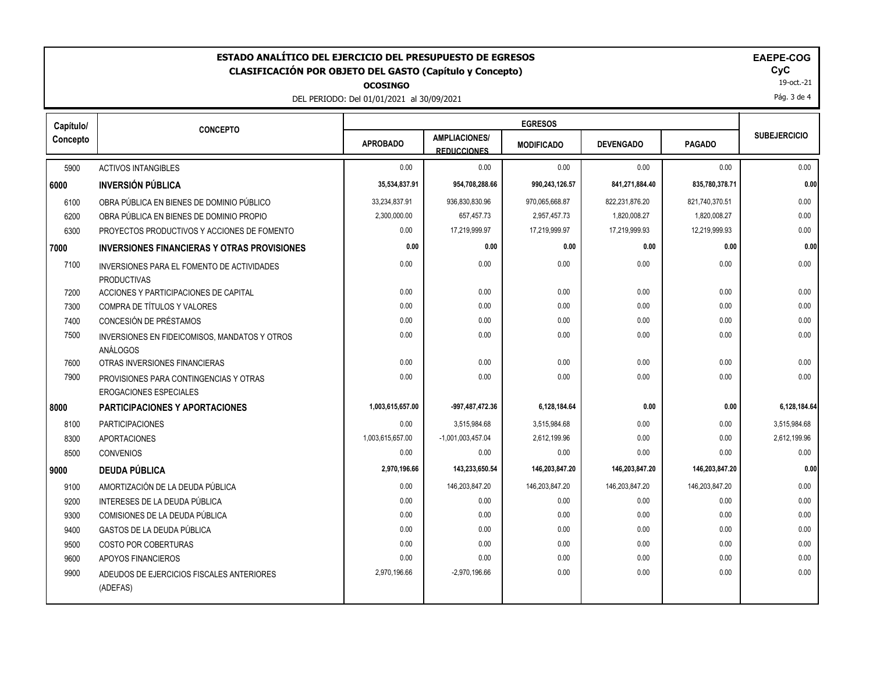| ESTADO ANALÍTICO DEL EJERCICIO DEL PRESUPUESTO DE EGRESOS<br>EAEPE-COG<br>CyC<br><b>CLASIFICACIÓN POR OBJETO DEL GASTO (Capítulo y Concepto)</b><br>19-oct.-21<br><b>OCOSINGO</b><br>Pág. 3 de 4<br>DEL PERIODO: Del 01/01/2021 al 30/09/2021 |                                                                         |                  |                                            |                   |                  |                |                     |
|-----------------------------------------------------------------------------------------------------------------------------------------------------------------------------------------------------------------------------------------------|-------------------------------------------------------------------------|------------------|--------------------------------------------|-------------------|------------------|----------------|---------------------|
| Capítulo/                                                                                                                                                                                                                                     | <b>CONCEPTO</b>                                                         |                  |                                            |                   |                  |                |                     |
| Concepto                                                                                                                                                                                                                                      |                                                                         | <b>APROBADO</b>  | <b>AMPLIACIONES/</b><br><b>REDUCCIONES</b> | <b>MODIFICADO</b> | <b>DEVENGADO</b> | <b>PAGADO</b>  | <b>SUBEJERCICIO</b> |
| 5900                                                                                                                                                                                                                                          | <b>ACTIVOS INTANGIBLES</b>                                              | 0.00             | 0.00                                       | 0.00              | 0.00             | 0.00           | 0.00                |
| 6000                                                                                                                                                                                                                                          | <b>INVERSIÓN PÚBLICA</b>                                                | 35,534,837.91    | 954,708,288.66                             | 990,243,126.57    | 841,271,884.40   | 835,780,378.71 | 0.00                |
| 6100                                                                                                                                                                                                                                          | OBRA PÚBLICA EN BIENES DE DOMINIO PÚBLICO                               | 33,234,837.91    | 936,830,830.96                             | 970,065,668.87    | 822,231,876.20   | 821,740,370.51 | 0.00                |
| 6200                                                                                                                                                                                                                                          | OBRA PÚBLICA EN BIENES DE DOMINIO PROPIO                                | 2,300,000.00     | 657,457.73                                 | 2,957,457.73      | 1.820.008.27     | 1.820.008.27   | 0.00                |
| 6300                                                                                                                                                                                                                                          | PROYECTOS PRODUCTIVOS Y ACCIONES DE FOMENTO                             | 0.00             | 17,219,999.97                              | 17,219,999.97     | 17,219,999.93    | 12,219,999.93  | 0.00                |
| 7000                                                                                                                                                                                                                                          | <b>INVERSIONES FINANCIERAS Y OTRAS PROVISIONES</b>                      | 0.00             | 0.00                                       | 0.00              | 0.00             | 0.00           | 0.00                |
| 7100                                                                                                                                                                                                                                          | INVERSIONES PARA EL FOMENTO DE ACTIVIDADES<br><b>PRODUCTIVAS</b>        | 0.00             | 0.00                                       | 0.00              | 0.00             | 0.00           | 0.00                |
| 7200                                                                                                                                                                                                                                          | ACCIONES Y PARTICIPACIONES DE CAPITAL                                   | 0.00             | 0.00                                       | 0.00              | 0.00             | 0.00           | 0.00                |
| 7300                                                                                                                                                                                                                                          | COMPRA DE TÍTULOS Y VALORES                                             | 0.00             | 0.00                                       | 0.00              | 0.00             | 0.00           | 0.00                |
| 7400                                                                                                                                                                                                                                          | CONCESIÓN DE PRÉSTAMOS                                                  | 0.00             | 0.00                                       | 0.00              | 0.00             | 0.00           | 0.00                |
| 7500                                                                                                                                                                                                                                          | INVERSIONES EN FIDEICOMISOS, MANDATOS Y OTROS<br><b>ANÁLOGOS</b>        | 0.00             | 0.00                                       | 0.00              | 0.00             | 0.00           | 0.00                |
| 7600                                                                                                                                                                                                                                          | OTRAS INVERSIONES FINANCIERAS                                           | 0.00             | 0.00                                       | 0.00              | 0.00             | 0.00           | 0.00                |
| 7900                                                                                                                                                                                                                                          | PROVISIONES PARA CONTINGENCIAS Y OTRAS<br><b>EROGACIONES ESPECIALES</b> | 0.00             | 0.00                                       | 0.00              | 0.00             | 0.00           | 0.00                |
| 8000                                                                                                                                                                                                                                          | <b>PARTICIPACIONES Y APORTACIONES</b>                                   | 1,003,615,657.00 | -997,487,472.36                            | 6,128,184.64      | 0.00             | 0.00           | 6,128,184.64        |
| 8100                                                                                                                                                                                                                                          | <b>PARTICIPACIONES</b>                                                  | 0.00             | 3,515,984.68                               | 3,515,984.68      | 0.00             | 0.00           | 3,515,984.68        |
| 8300                                                                                                                                                                                                                                          | <b>APORTACIONES</b>                                                     | 1,003,615,657.00 | $-1,001,003,457.04$                        | 2,612,199.96      | 0.00             | 0.00           | 2,612,199.96        |
| 8500                                                                                                                                                                                                                                          | <b>CONVENIOS</b>                                                        | 0.00             | 0.00                                       | 0.00              | 0.00             | 0.00           | 0.00                |
| 9000                                                                                                                                                                                                                                          | <b>DEUDA PÚBLICA</b>                                                    | 2,970,196.66     | 143,233,650.54                             | 146,203,847.20    | 146,203,847.20   | 146,203,847.20 | 0.00                |
| 9100                                                                                                                                                                                                                                          | AMORTIZACIÓN DE LA DEUDA PÚBLICA                                        | 0.00             | 146,203,847.20                             | 146,203,847.20    | 146,203,847.20   | 146,203,847.20 | 0.00                |
| 9200                                                                                                                                                                                                                                          | INTERESES DE LA DEUDA PÚBLICA                                           | 0.00             | 0.00                                       | 0.00              | 0.00             | 0.00           | 0.00                |
| 9300                                                                                                                                                                                                                                          | COMISIONES DE LA DEUDA PÚBLICA                                          | 0.00             | 0.00                                       | 0.00              | 0.00             | 0.00           | 0.00                |
| 9400                                                                                                                                                                                                                                          | GASTOS DE LA DEUDA PÚBLICA                                              | 0.00             | 0.00                                       | 0.00              | 0.00             | 0.00           | 0.00                |
| 9500                                                                                                                                                                                                                                          | COSTO POR COBERTURAS                                                    | 0.00             | 0.00                                       | 0.00              | 0.00             | 0.00           | 0.00                |
| 9600                                                                                                                                                                                                                                          | APOYOS FINANCIEROS                                                      | 0.00             | 0.00                                       | 0.00              | 0.00             | 0.00           | 0.00                |
| 9900                                                                                                                                                                                                                                          | ADEUDOS DE EJERCICIOS FISCALES ANTERIORES<br>(ADEFAS)                   | 2,970,196.66     | $-2,970,196.66$                            | 0.00              | 0.00             | 0.00           | 0.00                |
|                                                                                                                                                                                                                                               |                                                                         |                  |                                            |                   |                  |                |                     |